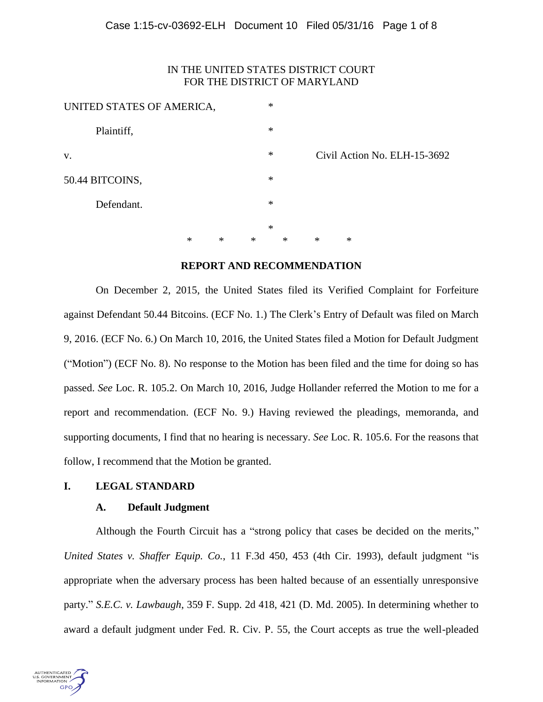# IN THE UNITED STATES DISTRICT COURT FOR THE DISTRICT OF MARYLAND

| UNITED STATES OF AMERICA, |        |        |   | $\ast$ |        |        |                              |
|---------------------------|--------|--------|---|--------|--------|--------|------------------------------|
| Plaintiff,                |        |        |   | $\ast$ |        |        |                              |
| V.                        |        |        |   | ∗      |        |        | Civil Action No. ELH-15-3692 |
| 50.44 BITCOINS,           |        |        |   | $\ast$ |        |        |                              |
| Defendant.                |        |        |   | $\ast$ |        |        |                              |
|                           |        |        |   | $\ast$ |        |        |                              |
|                           | $\ast$ | $\ast$ | ∗ |        | $\ast$ | $\ast$ | $\ast$                       |

## **REPORT AND RECOMMENDATION**

On December 2, 2015, the United States filed its Verified Complaint for Forfeiture against Defendant 50.44 Bitcoins. (ECF No. 1.) The Clerk's Entry of Default was filed on March 9, 2016. (ECF No. 6.) On March 10, 2016, the United States filed a Motion for Default Judgment ("Motion") (ECF No. 8). No response to the Motion has been filed and the time for doing so has passed. *See* Loc. R. 105.2. On March 10, 2016, Judge Hollander referred the Motion to me for a report and recommendation. (ECF No. 9.) Having reviewed the pleadings, memoranda, and supporting documents, I find that no hearing is necessary. *See* Loc. R. 105.6. For the reasons that follow, I recommend that the Motion be granted.

# **I. LEGAL STANDARD**

### **A. Default Judgment**

Although the Fourth Circuit has a "strong policy that cases be decided on the merits," *United States v. Shaffer Equip. Co.*, 11 F.3d 450, 453 (4th Cir. 1993), default judgment "is appropriate when the adversary process has been halted because of an essentially unresponsive party." *S.E.C. v. Lawbaugh*, 359 F. Supp. 2d 418, 421 (D. Md. 2005). In determining whether to award a default judgment under Fed. R. Civ. P. 55, the Court accepts as true the well-pleaded

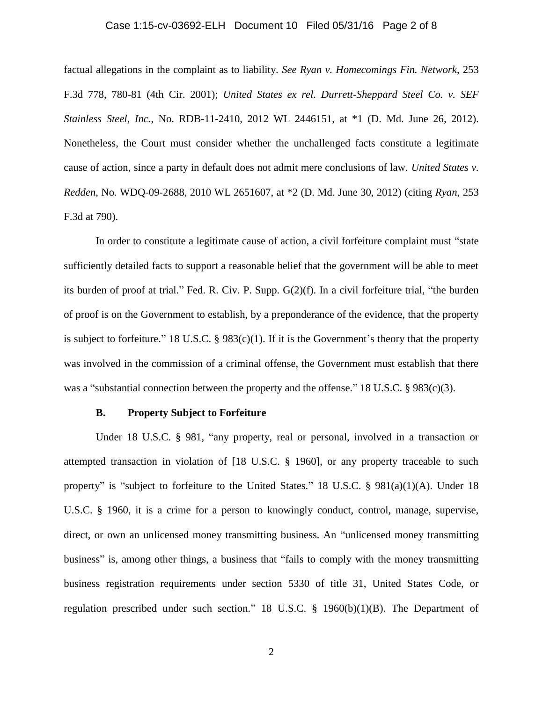#### Case 1:15-cv-03692-ELH Document 10 Filed 05/31/16 Page 2 of 8

factual allegations in the complaint as to liability. *See Ryan v. Homecomings Fin. Network*, 253 F.3d 778, 780-81 (4th Cir. 2001); *United States ex rel. Durrett-Sheppard Steel Co. v. SEF Stainless Steel, Inc.*, No. RDB-11-2410, 2012 WL 2446151, at \*1 (D. Md. June 26, 2012). Nonetheless, the Court must consider whether the unchallenged facts constitute a legitimate cause of action, since a party in default does not admit mere conclusions of law. *United States v. Redden*, No. WDQ-09-2688, 2010 WL 2651607, at \*2 (D. Md. June 30, 2012) (citing *Ryan*, 253 F.3d at 790).

In order to constitute a legitimate cause of action, a civil forfeiture complaint must "state sufficiently detailed facts to support a reasonable belief that the government will be able to meet its burden of proof at trial." Fed. R. Civ. P. Supp. G(2)(f). In a civil forfeiture trial, "the burden of proof is on the Government to establish, by a preponderance of the evidence, that the property is subject to forfeiture." 18 U.S.C. § 983(c)(1). If it is the Government's theory that the property was involved in the commission of a criminal offense, the Government must establish that there was a "substantial connection between the property and the offense." 18 U.S.C. § 983(c)(3).

#### **B. Property Subject to Forfeiture**

Under 18 U.S.C. § 981, "any property, real or personal, involved in a transaction or attempted transaction in violation of [18 U.S.C. § 1960], or any property traceable to such property" is "subject to forfeiture to the United States." 18 U.S.C. § 981(a)(1)(A). Under 18 U.S.C. § 1960, it is a crime for a person to knowingly conduct, control, manage, supervise, direct, or own an unlicensed money transmitting business. An "unlicensed money transmitting business" is, among other things, a business that "fails to comply with the money transmitting business registration requirements under section 5330 of title 31, United States Code, or regulation prescribed under such section." 18 U.S.C. § 1960(b)(1)(B). The Department of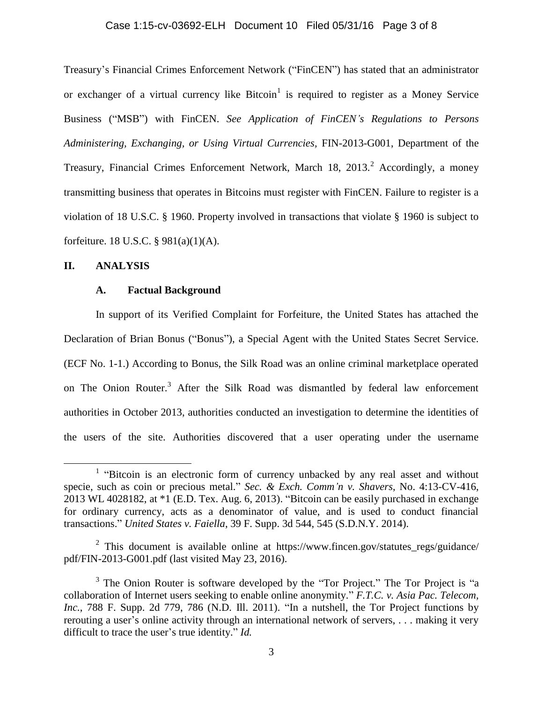## Case 1:15-cv-03692-ELH Document 10 Filed 05/31/16 Page 3 of 8

Treasury's Financial Crimes Enforcement Network ("FinCEN") has stated that an administrator or exchanger of a virtual currency like  $Bitcoin<sup>1</sup>$  is required to register as a Money Service Business ("MSB") with FinCEN. *See Application of FinCEN's Regulations to Persons Administering, Exchanging, or Using Virtual Currencies,* FIN-2013-G001, Department of the Treasury, Financial Crimes Enforcement Network, March 18, 2013.<sup>2</sup> Accordingly, a money transmitting business that operates in Bitcoins must register with FinCEN. Failure to register is a violation of 18 U.S.C. § 1960. Property involved in transactions that violate § 1960 is subject to forfeiture. 18 U.S.C. § 981(a)(1)(A).

### **II. ANALYSIS**

 $\overline{a}$ 

#### **A. Factual Background**

In support of its Verified Complaint for Forfeiture, the United States has attached the Declaration of Brian Bonus ("Bonus"), a Special Agent with the United States Secret Service. (ECF No. 1-1.) According to Bonus, the Silk Road was an online criminal marketplace operated on The Onion Router.<sup>3</sup> After the Silk Road was dismantled by federal law enforcement authorities in October 2013, authorities conducted an investigation to determine the identities of the users of the site. Authorities discovered that a user operating under the username

<sup>&</sup>lt;sup>1</sup> "Bitcoin is an electronic form of currency unbacked by any real asset and without specie, such as coin or precious metal." *Sec. & Exch. Comm'n v. Shavers*, No. 4:13-CV-416, 2013 WL 4028182, at \*1 (E.D. Tex. Aug. 6, 2013). "Bitcoin can be easily purchased in exchange for ordinary currency, acts as a denominator of value, and is used to conduct financial transactions." *United States v. Faiella*, 39 F. Supp. 3d 544, 545 (S.D.N.Y. 2014).

<sup>&</sup>lt;sup>2</sup> This document is available online at https://www.fincen.gov/statutes\_regs/guidance/ pdf/FIN-2013-G001.pdf (last visited May 23, 2016).

<sup>&</sup>lt;sup>3</sup> The Onion Router is software developed by the "Tor Project." The Tor Project is "a collaboration of Internet users seeking to enable online anonymity." *F.T.C. v. Asia Pac. Telecom,*  Inc., 788 F. Supp. 2d 779, 786 (N.D. Ill. 2011). "In a nutshell, the Tor Project functions by rerouting a user's online activity through an international network of servers, . . . making it very difficult to trace the user's true identity." *Id.*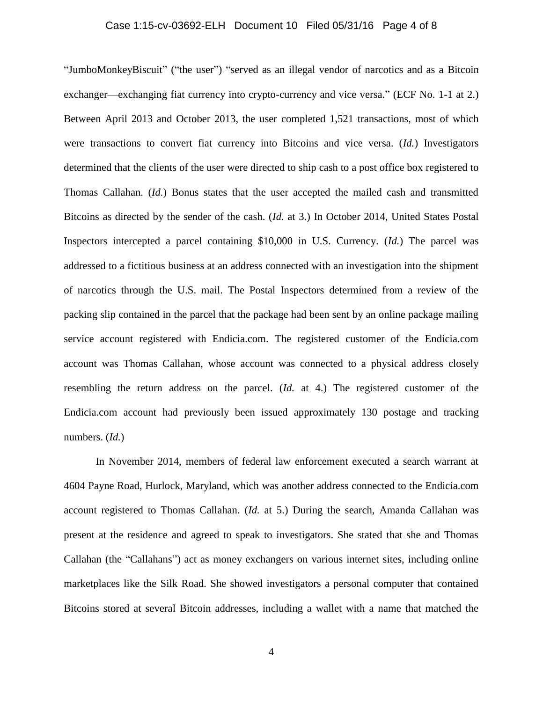## Case 1:15-cv-03692-ELH Document 10 Filed 05/31/16 Page 4 of 8

"JumboMonkeyBiscuit" ("the user") "served as an illegal vendor of narcotics and as a Bitcoin exchanger—exchanging fiat currency into crypto-currency and vice versa." (ECF No. 1-1 at 2.) Between April 2013 and October 2013, the user completed 1,521 transactions, most of which were transactions to convert fiat currency into Bitcoins and vice versa. (*Id.*) Investigators determined that the clients of the user were directed to ship cash to a post office box registered to Thomas Callahan. (*Id.*) Bonus states that the user accepted the mailed cash and transmitted Bitcoins as directed by the sender of the cash. (*Id.* at 3.) In October 2014, United States Postal Inspectors intercepted a parcel containing \$10,000 in U.S. Currency. (*Id.*) The parcel was addressed to a fictitious business at an address connected with an investigation into the shipment of narcotics through the U.S. mail. The Postal Inspectors determined from a review of the packing slip contained in the parcel that the package had been sent by an online package mailing service account registered with Endicia.com. The registered customer of the Endicia.com account was Thomas Callahan, whose account was connected to a physical address closely resembling the return address on the parcel. (*Id.* at 4.) The registered customer of the Endicia.com account had previously been issued approximately 130 postage and tracking numbers. (*Id.*)

In November 2014, members of federal law enforcement executed a search warrant at 4604 Payne Road, Hurlock, Maryland, which was another address connected to the Endicia.com account registered to Thomas Callahan. (*Id.* at 5.) During the search, Amanda Callahan was present at the residence and agreed to speak to investigators. She stated that she and Thomas Callahan (the "Callahans") act as money exchangers on various internet sites, including online marketplaces like the Silk Road. She showed investigators a personal computer that contained Bitcoins stored at several Bitcoin addresses, including a wallet with a name that matched the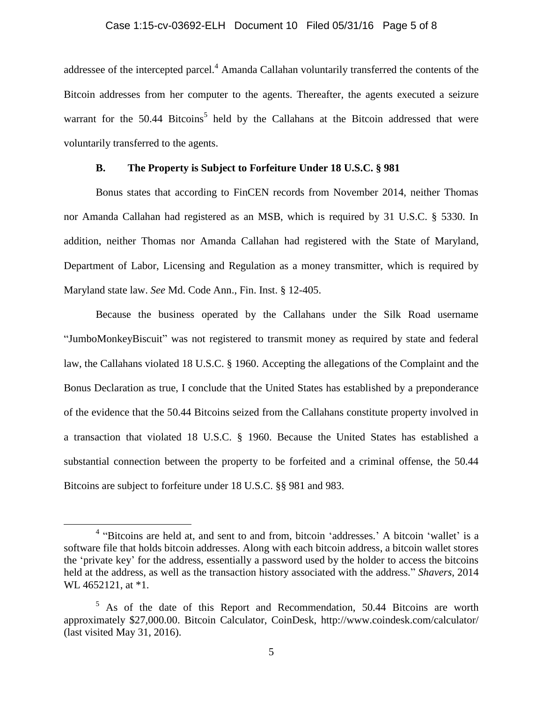## Case 1:15-cv-03692-ELH Document 10 Filed 05/31/16 Page 5 of 8

addressee of the intercepted parcel.<sup>4</sup> Amanda Callahan voluntarily transferred the contents of the Bitcoin addresses from her computer to the agents. Thereafter, the agents executed a seizure warrant for the 50.44 Bitcoins<sup>5</sup> held by the Callahans at the Bitcoin addressed that were voluntarily transferred to the agents.

## **B. The Property is Subject to Forfeiture Under 18 U.S.C. § 981**

Bonus states that according to FinCEN records from November 2014, neither Thomas nor Amanda Callahan had registered as an MSB, which is required by 31 U.S.C. § 5330. In addition, neither Thomas nor Amanda Callahan had registered with the State of Maryland, Department of Labor, Licensing and Regulation as a money transmitter, which is required by Maryland state law. *See* Md. Code Ann., Fin. Inst. § 12-405.

Because the business operated by the Callahans under the Silk Road username "JumboMonkeyBiscuit" was not registered to transmit money as required by state and federal law, the Callahans violated 18 U.S.C. § 1960. Accepting the allegations of the Complaint and the Bonus Declaration as true, I conclude that the United States has established by a preponderance of the evidence that the 50.44 Bitcoins seized from the Callahans constitute property involved in a transaction that violated 18 U.S.C. § 1960. Because the United States has established a substantial connection between the property to be forfeited and a criminal offense, the 50.44 Bitcoins are subject to forfeiture under 18 U.S.C. §§ 981 and 983.

 $\overline{a}$ 

<sup>&</sup>lt;sup>4</sup> "Bitcoins are held at, and sent to and from, bitcoin 'addresses.' A bitcoin 'wallet' is a software file that holds bitcoin addresses. Along with each bitcoin address, a bitcoin wallet stores the 'private key' for the address, essentially a password used by the holder to access the bitcoins held at the address, as well as the transaction history associated with the address." *Shavers*, 2014 WL 4652121, at  $*1$ .

 $5$  As of the date of this Report and Recommendation, 50.44 Bitcoins are worth approximately \$27,000.00. Bitcoin Calculator, CoinDesk, http://www.coindesk.com/calculator/ (last visited May 31, 2016).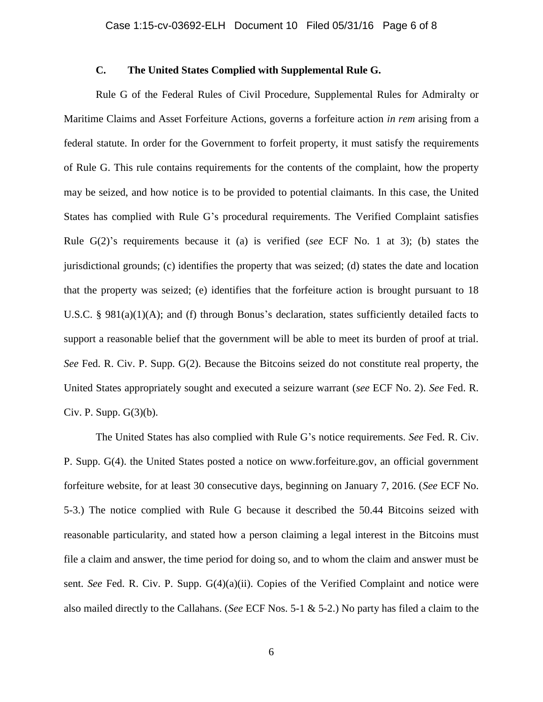## **C. The United States Complied with Supplemental Rule G.**

Rule G of the Federal Rules of Civil Procedure, Supplemental Rules for Admiralty or Maritime Claims and Asset Forfeiture Actions, governs a forfeiture action *in rem* arising from a federal statute. In order for the Government to forfeit property, it must satisfy the requirements of Rule G. This rule contains requirements for the contents of the complaint, how the property may be seized, and how notice is to be provided to potential claimants. In this case, the United States has complied with Rule G's procedural requirements. The Verified Complaint satisfies Rule G(2)'s requirements because it (a) is verified (*see* ECF No. 1 at 3); (b) states the jurisdictional grounds; (c) identifies the property that was seized; (d) states the date and location that the property was seized; (e) identifies that the forfeiture action is brought pursuant to 18 U.S.C. § 981(a)(1)(A); and (f) through Bonus's declaration, states sufficiently detailed facts to support a reasonable belief that the government will be able to meet its burden of proof at trial. *See* Fed. R. Civ. P. Supp. G(2). Because the Bitcoins seized do not constitute real property, the United States appropriately sought and executed a seizure warrant (*see* ECF No. 2). *See* Fed. R. Civ. P. Supp.  $G(3)(b)$ .

The United States has also complied with Rule G's notice requirements. *See* Fed. R. Civ. P. Supp. G(4). the United States posted a notice on www.forfeiture.gov, an official government forfeiture website, for at least 30 consecutive days, beginning on January 7, 2016. (*See* ECF No. 5-3.) The notice complied with Rule G because it described the 50.44 Bitcoins seized with reasonable particularity, and stated how a person claiming a legal interest in the Bitcoins must file a claim and answer, the time period for doing so, and to whom the claim and answer must be sent. *See* Fed. R. Civ. P. Supp. G(4)(a)(ii). Copies of the Verified Complaint and notice were also mailed directly to the Callahans. (*See* ECF Nos. 5-1 & 5-2.) No party has filed a claim to the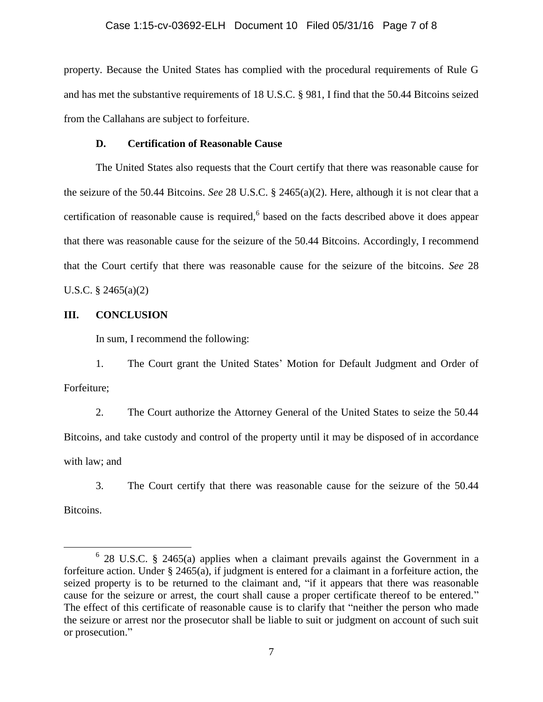property. Because the United States has complied with the procedural requirements of Rule G and has met the substantive requirements of 18 U.S.C. § 981, I find that the 50.44 Bitcoins seized from the Callahans are subject to forfeiture.

## **D. Certification of Reasonable Cause**

The United States also requests that the Court certify that there was reasonable cause for the seizure of the 50.44 Bitcoins. *See* 28 U.S.C. § 2465(a)(2). Here, although it is not clear that a certification of reasonable cause is required,<sup>6</sup> based on the facts described above it does appear that there was reasonable cause for the seizure of the 50.44 Bitcoins. Accordingly, I recommend that the Court certify that there was reasonable cause for the seizure of the bitcoins. *See* 28 U.S.C. § 2465(a)(2)

#### **III. CONCLUSION**

 $\overline{a}$ 

In sum, I recommend the following:

1. The Court grant the United States' Motion for Default Judgment and Order of Forfeiture;

2. The Court authorize the Attorney General of the United States to seize the 50.44 Bitcoins, and take custody and control of the property until it may be disposed of in accordance with law; and

3. The Court certify that there was reasonable cause for the seizure of the 50.44 Bitcoins.

<sup>6</sup> 28 U.S.C. § 2465(a) applies when a claimant prevails against the Government in a forfeiture action. Under § 2465(a), if judgment is entered for a claimant in a forfeiture action, the seized property is to be returned to the claimant and, "if it appears that there was reasonable cause for the seizure or arrest, the court shall cause a proper certificate thereof to be entered." The effect of this certificate of reasonable cause is to clarify that "neither the person who made the seizure or arrest nor the prosecutor shall be liable to suit or judgment on account of such suit or prosecution."